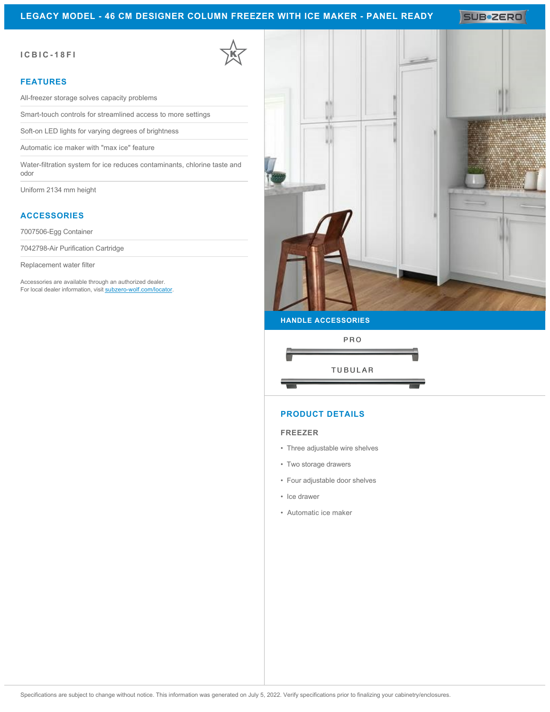# **LEGACY MODEL - 46 CM DESIGNER COLUMN FREEZER WITH ICE MAKER - PANEL READY**

SUB<sup>\*</sup>ZERO

### **ICBIC-18FI**

### **FEATURES**

All-freezer storage solves capacity problems

Smart-touch controls for streamlined access to more settings

Soft-on LED lights for varying degrees of brightness

Automatic ice maker with "max ice" feature

Water-filtration system for ice reduces contaminants, chlorine taste and odor

Uniform 2134 mm height

## **ACCESSORIES**

7007506-Egg Container

7042798-Air Purification Cartridge

Replacement water filter

Accessories are available through an authorized dealer. For local dealer information, visit [subzero-wolf.com/locator.](http://www.subzero-wolf.com/locator)



PRO **TUBULAR** 

## **PRODUCT DETAILS**

#### **FREEZER**

- Three adjustable wire shelves
- Two storage drawers
- Four adjustable door shelves
- Ice drawer
- Automatic ice maker